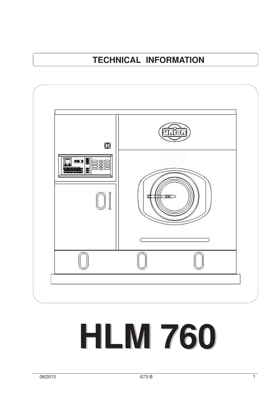# **TECHNICAL INFORMATION**



# **HLM 760**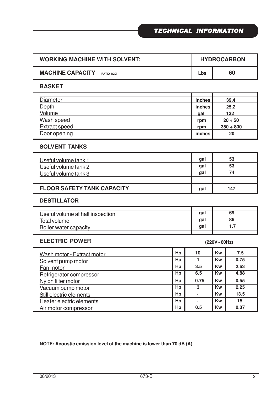| <b>WORKING MACHINE WITH SOLVENT:</b>    |     | <b>HYDROCARBON</b> |  |  |
|-----------------------------------------|-----|--------------------|--|--|
| <b>MACHINE CAPACITY</b><br>(RATIO 1:20) | Lbs | 60                 |  |  |

#### **BASKET**

| Diameter             | inches | 39.4           |
|----------------------|--------|----------------|
| <b>Depth</b>         | inches | 25.2           |
| Volume               | qal    | 132            |
| Wash speed           | rpm    | $20 \div 50$   |
| <b>Extract speed</b> | rpm    | $350 \div 800$ |
| Door opening         | inches | 20             |

### **SOLVENT TANKS**

| Useful volume tank 1              | gal | 53  |
|-----------------------------------|-----|-----|
| Useful volume tank 2              | gal | 53  |
| Useful volume tank 3              | gal | 74  |
|                                   |     |     |
| <b>FLOOR SAFETY TANK CAPACITY</b> | gal | 147 |

#### **DESTILLATOR**

| Useful volume at half inspection | qal        | 69 |
|----------------------------------|------------|----|
| Total volume                     | qal        | 86 |
| Boiler water capacity            | <b>gal</b> |    |
|                                  |            |    |

#### **ELECTRIC POWER**

Heater electric elements Air motor compressor

| <b>ELECTRIC POWER</b>      | $(220V - 60Hz)$ |                |           |      |
|----------------------------|-----------------|----------------|-----------|------|
| Wash motor - Extract motor | Hp              | 10             | <b>Kw</b> | 7.5  |
| Solvent pump motor         | Hp              |                | <b>Kw</b> | 0.75 |
| Fan motor                  | Hp              | 3.5            | <b>Kw</b> | 2.63 |
| Refrigerator compressor    | Hp              | 6.5            | <b>Kw</b> | 4.88 |
| Nylon filter motor         | Hp              | 0.75           | Kw        | 0.55 |
| Vacuum pump motor          | Hp              | 3              | <b>Kw</b> | 2.25 |
| Still electric elements    | Hp              | $\blacksquare$ | Kw        | 13.5 |

**Hp - Kw 15 Hp 0.5 Kw 0.37**

#### **NOTE: Acoustic emission level of the machine is lower than 70 dB (A)**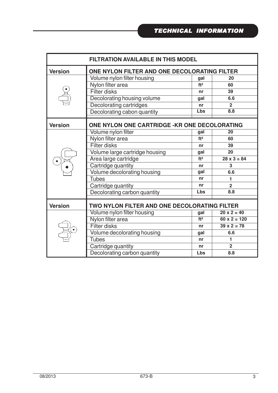| <b>FILTRATION AVAILABLE IN THIS MODEL</b> |                                               |                 |                     |  |  |  |
|-------------------------------------------|-----------------------------------------------|-----------------|---------------------|--|--|--|
| <b>Version</b>                            | ONE NYLON FILTER AND ONE DECOLORATING FILTER  |                 |                     |  |  |  |
|                                           | Volume nylon filter housing                   | gal             | 20                  |  |  |  |
|                                           | Nylon filter area                             | ft <sup>2</sup> | 60                  |  |  |  |
|                                           | <b>Filter disks</b>                           | nr              | 39                  |  |  |  |
|                                           | Decolorating housing volume                   | gal             | 6.6                 |  |  |  |
|                                           | Decolorating cartridges                       | nr              | $\overline{2}$      |  |  |  |
|                                           | Decolorating cabon quantity                   | Lbs             | 8.8                 |  |  |  |
| <b>Version</b>                            | ONE NYLON ONE CARTRIDGE - KR ONE DECOLORATING |                 |                     |  |  |  |
|                                           | Volume nylon filter                           | gal             | 20                  |  |  |  |
|                                           | Nylon filter area                             | ft <sup>2</sup> | 60                  |  |  |  |
|                                           | <b>Filter disks</b>                           | nr              | 39                  |  |  |  |
|                                           | Volume large cartridge housing                | gal             | 20                  |  |  |  |
|                                           | Area large cartridge                          | ft <sup>2</sup> | $28 \times 3 = 84$  |  |  |  |
|                                           | Cartridge quantity                            | nr              | 3                   |  |  |  |
|                                           | Volume decolorating housing                   | gal             | 6.6                 |  |  |  |
|                                           | <b>Tubes</b>                                  | nr              | $\blacksquare$      |  |  |  |
|                                           | Cartridge quantity                            | nr              | $\overline{2}$      |  |  |  |
|                                           | Decolorating carbon quantity                  | Lbs             | 8.8                 |  |  |  |
| <b>Version</b>                            | TWO NYLON FILTER AND ONE DECOLORATING FILTER  |                 |                     |  |  |  |
|                                           | Volume nylon filter housing                   | gal             | $20 \times 2 = 40$  |  |  |  |
|                                           | Nylon filter area                             | ft <sup>2</sup> | $60 \times 2 = 120$ |  |  |  |
|                                           | <b>Filter disks</b>                           | nr              | $39 \times 2 = 78$  |  |  |  |
|                                           | Volume decolorating housing                   | gal             | 6.6                 |  |  |  |
|                                           | <b>Tubes</b>                                  | nr              | 1                   |  |  |  |
|                                           | Cartridge quantity                            | nr              | $\overline{2}$      |  |  |  |
|                                           | Decolorating carbon quantity                  | Lbs             | 8.8                 |  |  |  |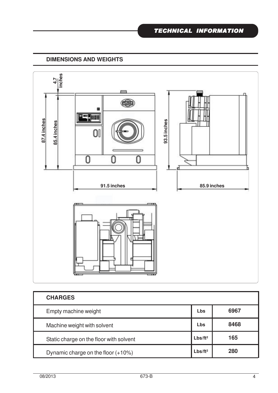# **DIMENSIONS AND WEIGHTS**



| <b>CHARGES</b>                          |                     |      |
|-----------------------------------------|---------------------|------|
| Empty machine weight                    | Lbs                 | 6967 |
| Machine weight with solvent             | Lbs                 | 8468 |
| Static charge on the floor with solvent | Lbs/ft <sup>2</sup> | 165  |
| Dynamic charge on the floor $(+10\%)$   | Lbs/ft <sup>2</sup> | 280  |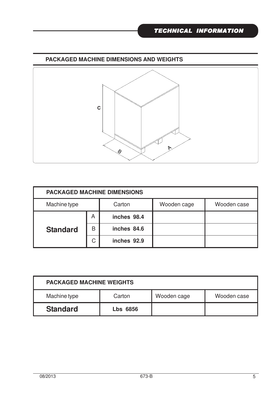![](_page_4_Figure_1.jpeg)

![](_page_4_Figure_2.jpeg)

| <b>PACKAGED MACHINE DIMENSIONS</b> |   |             |             |             |  |
|------------------------------------|---|-------------|-------------|-------------|--|
| Machine type                       |   | Carton      | Wooden cage | Wooden case |  |
|                                    | A | inches 98.4 |             |             |  |
| <b>Standard</b>                    | B | inches 84.6 |             |             |  |
|                                    | С | inches 92.9 |             |             |  |

| <b>PACKAGED MACHINE WEIGHTS</b>                      |                 |  |  |  |  |
|------------------------------------------------------|-----------------|--|--|--|--|
| Machine type<br>Wooden case<br>Wooden cage<br>Carton |                 |  |  |  |  |
| <b>Standard</b>                                      | <b>Lbs 6856</b> |  |  |  |  |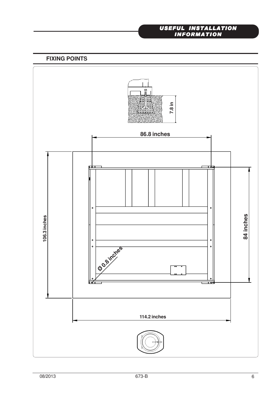#### *USEFUL INSTALLATION INFORMATION*

**FIXING POINTS**

![](_page_5_Figure_2.jpeg)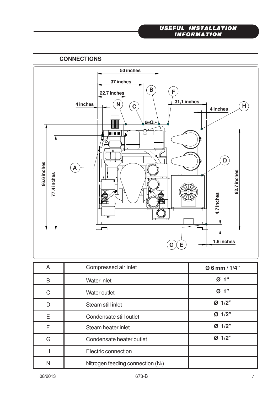#### *USEFUL INSTALLATION INFORMATION*

## **CONNECTIONS**

![](_page_6_Figure_2.jpeg)

| A | Compressed air inlet                | Ø 6 mm / 1/4"        |
|---|-------------------------------------|----------------------|
| B | Water inlet                         | 1 <sup>66</sup><br>Ø |
| C | <b>Water outlet</b>                 | Ø 1"                 |
| D | Steam still inlet                   | Ø 1/2"               |
| Ε | Condensate still outlet             | Ø 1/2"               |
| F | Steam heater inlet                  | Ø 1/2"               |
| G | Condensate heater outlet            | Ø 1/2"               |
| H | Electric connection                 |                      |
| N | Nitrogen feeding connection $(N_2)$ |                      |